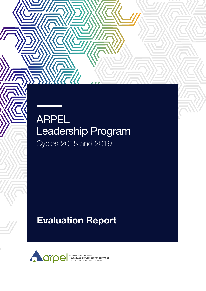#### ARPEL Leadership Program Cycles 2018 and 2019

WFW

#### Evaluation Report

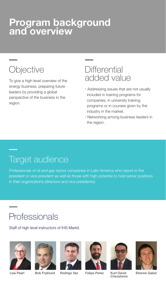### **Program background and overview**

# **Objective**

To give a high-level overview of the energy business, preparing future leaders by providing a global perspective of the business in the region.

#### **Differential** added value

- **‧** Addressing issues that are not usually included in training programs for companies, in university training programs or in courses given by the industry in the market.
- **‧** Networking among business leaders in the region.

# Target audience

Professionals of oil and gas sector companies in Latin America who report to the president or vice president as well as those with high potential to hold senior positions in their organizations (directors and vice presidents).

# Professionals

Staff of high level instructors of IHS Markit.









Crisostomo



Etienne Gabel

Lisa Pearl Bob Fryklund Rodrigo Vaz Felipe Perez Kurt David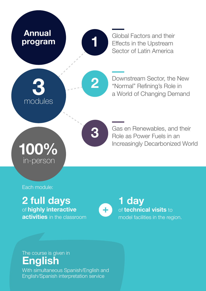

Global Factors and their Effects in the Upstream Sector of Latin America

Downstream Sector, the New "Normal" Refining's Role in a World of Changing Demand

Gas en Renewables, and their Role as Power Fuels in an Increasingly Decarbonized World

Each module:

in-person

**2 full days** of **highly interactive** 

**activities** in the classroom



**1 day** of **technical visits** to model facilities in the region.

#### The course is given in **English**

With simultaneous Spanish/English and English/Spanish interpretation service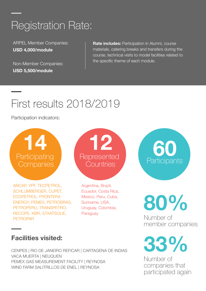# Registration Rate:

ARPEL Member Companies: **USD 4,000/module**

Non-Member Companies: **USD 5,500/module**

**Rate includes:** Participation in Alumni, course materials, catering breaks and transfers during the course, technical visits to model facilities related to the specific theme of each module.

# First results 2018/2019

Participation indicators:

**14 Participating Companies** 

ANCAP, YPF, TECPETROL, SCHLUMBERGER, CUPET, ECOPETROL, FRONTERA ENERGY, PEMEX, PETROBRAS, PETROPERU, TRANSPETRO, RECOPE, KBR, STAATSOLIE, PETROPAR



Argentina, Brazil, Ecuador, Costa Rica, Mexico, Peru, Cuba, Suriname, USA, Uruguay, Colombia, Paraguay



**80%**

Number of member companies

#### **Facilities visited:**

CENPES | RIO DE JANEIRO REFICAR | CARTAGENA DE INDIAS VACA MUERTA | NEUQUEN PEMEX GAS MEASUREMENT FACILITY | REYNOSA WIND FARM SALITRILLOS DE ENEL | REYNOSA

# **33%**

Number of companies that participated again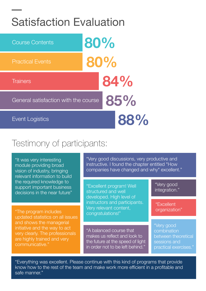### Satisfaction Evaluation



#### Testimony of participants:

"It was very interesting module providing broad vision of industry, bringing relevant information to build the required knowledge to support important business decisions in the near future"

"The program includes updated statistics on all issues and shows the managerial initiative and the way to act very clearly. The professionals are highly trained and very communicative."

"Very good discussions, very productive and instructive. I found the chapter entitled "How companies have changed and why" excellent."

"Excellent program! Well structured and well developed. High level of instructors and participants. Very relevant content, congratulations!" "Very good integration." "A balanced course that makes us reflect and look to the future at the speed of light in order not to be left behind." "Excellent organization" "Very good combination between theoretical sessions and practical exercises."

"Everything was excellent. Please continue with this kind of programs that provide know how to the rest of the team and make work more efficient in a profitable and safe manner."